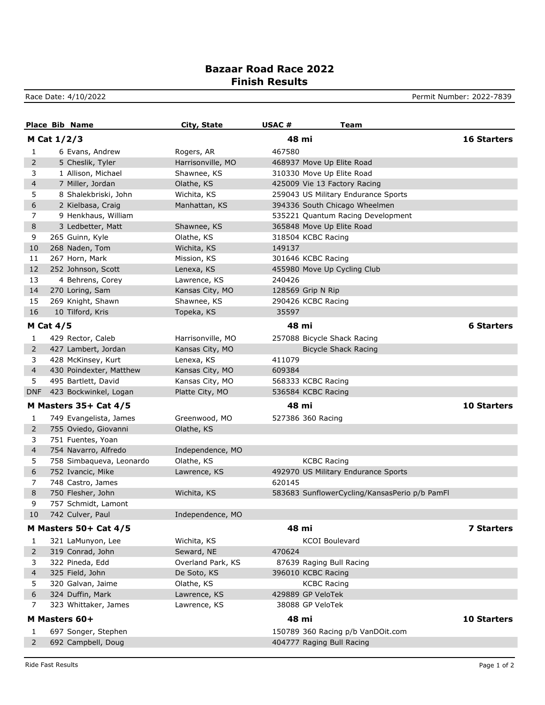## **Bazaar Road Race 2022 Finish Results**

Race Date: 4/10/2022 **Permit Number: 2022-7839** 

|            | <b>Place Bib Name</b>                          | City, State       | USAC#<br>Team                                 |                    |
|------------|------------------------------------------------|-------------------|-----------------------------------------------|--------------------|
|            | M Cat 1/2/3                                    |                   | 48 mi                                         | <b>16 Starters</b> |
| 1          | 6 Evans, Andrew                                | Rogers, AR        | 467580                                        |                    |
| 2          | 5 Cheslik, Tyler                               | Harrisonville, MO | 468937 Move Up Elite Road                     |                    |
| 3          | 1 Allison, Michael                             | Shawnee, KS       | 310330 Move Up Elite Road                     |                    |
| 4          | 7 Miller, Jordan                               | Olathe, KS        | 425009 Vie 13 Factory Racing                  |                    |
| 5          | 8 Shalekbriski, John                           | Wichita, KS       | 259043 US Military Endurance Sports           |                    |
| 6          | 2 Kielbasa, Craig                              | Manhattan, KS     | 394336 South Chicago Wheelmen                 |                    |
| 7          | 9 Henkhaus, William                            |                   | 535221 Quantum Racing Development             |                    |
| 8          | 3 Ledbetter, Matt                              | Shawnee, KS       | 365848 Move Up Elite Road                     |                    |
| 9          | 265 Guinn, Kyle                                | Olathe, KS        | 318504 KCBC Racing                            |                    |
| 10         | 268 Naden, Tom                                 | Wichita, KS       | 149137                                        |                    |
| 11         | 267 Horn, Mark                                 | Mission, KS       | 301646 KCBC Racing                            |                    |
| 12         | 252 Johnson, Scott                             | Lenexa, KS        | 455980 Move Up Cycling Club                   |                    |
| 13         | 4 Behrens, Corey                               | Lawrence, KS      | 240426                                        |                    |
| 14         | 270 Loring, Sam                                | Kansas City, MO   | 128569 Grip N Rip                             |                    |
| 15         | 269 Knight, Shawn                              | Shawnee, KS       | 290426 KCBC Racing                            |                    |
| 16         | 10 Tilford, Kris                               | Topeka, KS        | 35597                                         |                    |
|            | <b>M Cat 4/5</b>                               |                   | 48 mi                                         | <b>6 Starters</b>  |
| 1          | 429 Rector, Caleb                              | Harrisonville, MO | 257088 Bicycle Shack Racing                   |                    |
| 2          | 427 Lambert, Jordan                            | Kansas City, MO   | <b>Bicycle Shack Racing</b>                   |                    |
| 3          | 428 McKinsey, Kurt                             | Lenexa, KS        | 411079                                        |                    |
| 4          | 430 Poindexter, Matthew                        | Kansas City, MO   | 609384                                        |                    |
| 5          | 495 Bartlett, David                            | Kansas City, MO   | 568333 KCBC Racing                            |                    |
| <b>DNF</b> | 423 Bockwinkel, Logan                          | Platte City, MO   | 536584 KCBC Racing                            |                    |
|            | M Masters 35+ Cat 4/5                          |                   | 48 mi                                         | <b>10 Starters</b> |
|            |                                                | Greenwood, MO     | 527386 360 Racing                             |                    |
| 1<br>2     | 749 Evangelista, James<br>755 Oviedo, Giovanni | Olathe, KS        |                                               |                    |
| 3          | 751 Fuentes, Yoan                              |                   |                                               |                    |
| 4          | 754 Navarro, Alfredo                           | Independence, MO  |                                               |                    |
| 5          | 758 Simbaqueva, Leonardo                       | Olathe, KS        | <b>KCBC Racing</b>                            |                    |
| 6          | 752 Ivancic, Mike                              | Lawrence, KS      | 492970 US Military Endurance Sports           |                    |
| 7          | 748 Castro, James                              |                   | 620145                                        |                    |
| 8          | 750 Flesher, John                              | Wichita, KS       | 583683 SunflowerCycling/KansasPerio p/b PamFl |                    |
| 9          | 757 Schmidt, Lamont                            |                   |                                               |                    |
| 10         | 742 Culver, Paul                               | Independence, MO  |                                               |                    |
|            | M Masters 50+ Cat 4/5                          |                   | 48 mi                                         | <b>7 Starters</b>  |
|            |                                                |                   |                                               |                    |
| 1          | 321 LaMunyon, Lee                              | Wichita, KS       | <b>KCOI Boulevard</b>                         |                    |
| 2          | 319 Conrad, John                               | Seward, NE        | 470624                                        |                    |
| 3          | 322 Pineda, Edd                                | Overland Park, KS | 87639 Raging Bull Racing                      |                    |
| 4          | 325 Field, John                                | De Soto, KS       | 396010 KCBC Racing                            |                    |
| 5          | 320 Galvan, Jaime                              | Olathe, KS        | <b>KCBC Racing</b>                            |                    |
| 6          | 324 Duffin, Mark                               | Lawrence, KS      | 429889 GP VeloTek                             |                    |
| 7          | 323 Whittaker, James                           | Lawrence, KS      | 38088 GP VeloTek                              |                    |
|            | M Masters 60+                                  |                   | 48 mi                                         | 10 Starters        |
| 1          | 697 Songer, Stephen                            |                   | 150789 360 Racing p/b VanDOit.com             |                    |
| 2          | 692 Campbell, Doug                             |                   | 404777 Raging Bull Racing                     |                    |